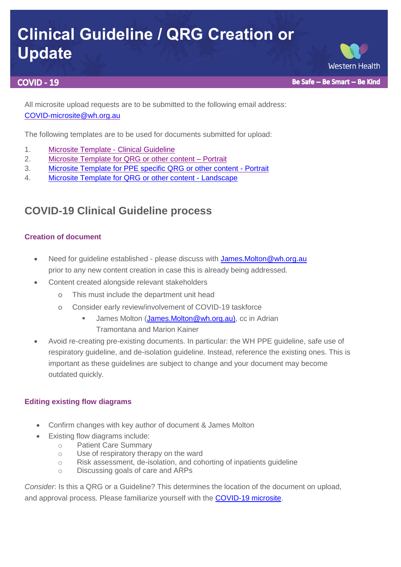# **Clinical Guideline / QRG Creation or Update**

#### **COVID - 19**

Be Safe -- Be Smart -- Be Kind

**Western Health** 

All microsite upload requests are to be submitted to the following email address: [COVID-microsite@wh.org.au](mailto:COVID-microsite@wh.org.au)

The following templates are to be used for documents submitted for upload:

- 1. [Microsite Template -](https://coronavirus.wh.org.au/wp-content/uploads/2020/04/Microsite-Template-for-Clinical-Guideline.docx) Clinical Guideline
- 2. [Microsite Template for QRG or other content –](https://coronavirus.wh.org.au/wp-content/uploads/2020/04/Microsite-Template-for-QRG-or-other-content-Portrait.docx) [Portrait](https://coronavirus.wh.org.au/wp-content/uploads/2020/04/Microsite-Template-for-QRG-or-other-content-Portrait.docx)
- 3. [Microsite Template for PPE specific QRG or other content -](https://coronavirus.wh.org.au/wp-content/uploads/2020/09/Microsite-Template-for-PPE-QRG-or-other-content-Portrait.docx) Portrait
- 4. [Microsite Template for QRG or other content -](https://coronavirus.wh.org.au/wp-content/uploads/2020/04/Microsite-Template-for-QRG-or-other-content-Landscape.docx) Landscape

## **COVID-19 Clinical Guideline process**

#### **Creation of document**

- Need for guideline established please discuss with James. Molton@wh.org.au prior to any new content creation in case this is already being addressed.
- Content created alongside relevant stakeholders
	- o This must include the department unit head
	- o Consider early review/involvement of COVID-19 taskforce
		- James Molton (James.Molton@wh.org.au), cc in Adrian Tramontana and Marion Kainer
- Avoid re-creating pre-existing documents. In particular: the WH PPE guideline, safe use of respiratory guideline, and de-isolation guideline. Instead, reference the existing ones. This is important as these guidelines are subject to change and your document may become outdated quickly.

#### **Editing existing flow diagrams**

- Confirm changes with key author of document & James Molton
- Existing flow diagrams include:
	- o Patient Care Summary
	- o Use of respiratory therapy on the ward
	- o Risk assessment, de-isolation, and cohorting of inpatients guideline
	- o Discussing goals of care and ARPs

*Consider*: Is this a QRG or a Guideline? This determines the location of the document on upload, and approval process. Please familiarize yourself with the [COVID-19 microsite.](https://coronavirus.wh.org.au/)